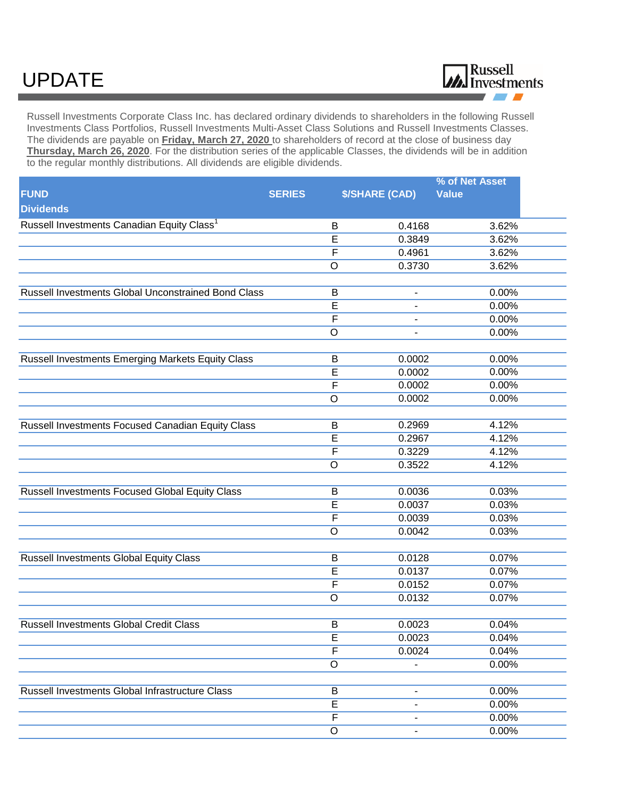## UPDATE



Russell Investments Corporate Class Inc. has declared ordinary dividends to shareholders in the following Russell Investments Class Portfolios, Russell Investments Multi-Asset Class Solutions and Russell Investments Classes. The dividends are payable on **Friday, March 27, 2020** to shareholders of record at the close of business day **Thursday, March 26, 2020**. For the distribution series of the applicable Classes, the dividends will be in addition to the regular monthly distributions. All dividends are eligible dividends.

|                                                        |                         |                              | % of Net Asset |
|--------------------------------------------------------|-------------------------|------------------------------|----------------|
| <b>FUND</b><br><b>Dividends</b>                        | <b>SERIES</b>           | <b>\$/SHARE (CAD)</b>        | <b>Value</b>   |
| Russell Investments Canadian Equity Class <sup>1</sup> | В                       | 0.4168                       | 3.62%          |
|                                                        | E                       | 0.3849                       | 3.62%          |
|                                                        | F                       | 0.4961                       | 3.62%          |
|                                                        | O                       | 0.3730                       | 3.62%          |
| Russell Investments Global Unconstrained Bond Class    | B                       | $\overline{\phantom{0}}$     | 0.00%          |
|                                                        | E                       | -                            | 0.00%          |
|                                                        | F                       | ۰                            | 0.00%          |
|                                                        | O                       |                              | 0.00%          |
| Russell Investments Emerging Markets Equity Class      | Β                       | 0.0002                       | 0.00%          |
|                                                        | E                       | 0.0002                       | 0.00%          |
|                                                        | F                       | 0.0002                       | 0.00%          |
|                                                        | O                       | 0.0002                       | 0.00%          |
| Russell Investments Focused Canadian Equity Class      | B                       | 0.2969                       | 4.12%          |
|                                                        | E                       | 0.2967                       | 4.12%          |
|                                                        | F                       | 0.3229                       | 4.12%          |
|                                                        | O                       | 0.3522                       | 4.12%          |
| Russell Investments Focused Global Equity Class        | Β                       | 0.0036                       | 0.03%          |
|                                                        | E                       | 0.0037                       | 0.03%          |
|                                                        | F                       | 0.0039                       | 0.03%          |
|                                                        | O                       | 0.0042                       | 0.03%          |
| <b>Russell Investments Global Equity Class</b>         | B                       | 0.0128                       | 0.07%          |
|                                                        | E                       | 0.0137                       | 0.07%          |
|                                                        | F                       | 0.0152                       | 0.07%          |
|                                                        | O                       | 0.0132                       | 0.07%          |
|                                                        |                         |                              |                |
| Russell Investments Global Credit Class                | B                       | 0.0023                       | 0.04%          |
|                                                        | E                       | 0.0023                       | 0.04%          |
|                                                        | F                       | 0.0024                       | 0.04%          |
|                                                        | $\circ$                 |                              | 0.00%          |
| Russell Investments Global Infrastructure Class        | B                       | -                            | 0.00%          |
|                                                        | $\overline{\mathsf{E}}$ | $\qquad \qquad \blacksquare$ | 0.00%          |
|                                                        | F                       | $\overline{\phantom{0}}$     | 0.00%          |
|                                                        | $\mathsf O$             | $\overline{\phantom{0}}$     | 0.00%          |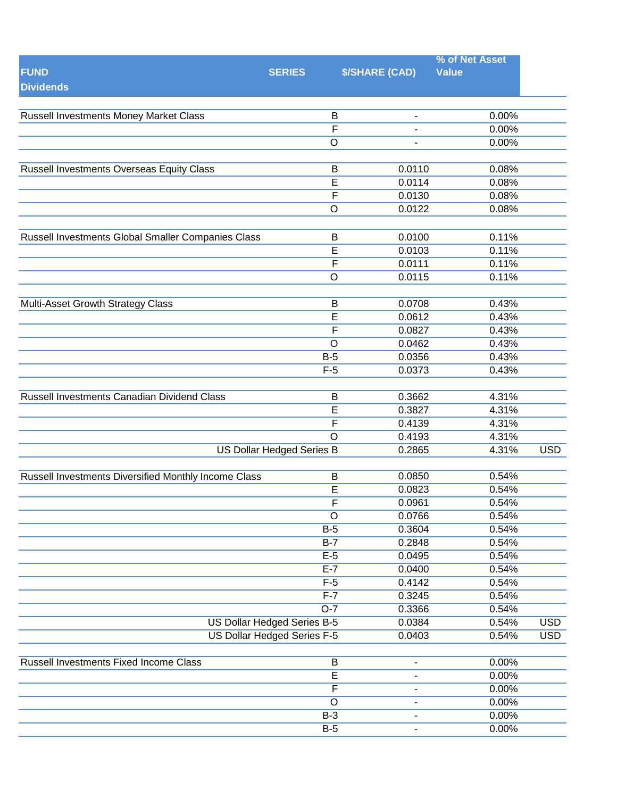|                                                      |                             |                              | % of Net Asset |            |
|------------------------------------------------------|-----------------------------|------------------------------|----------------|------------|
| <b>FUND</b><br><b>Dividends</b>                      | <b>SERIES</b>               | <b>\$/SHARE (CAD)</b>        | <b>Value</b>   |            |
|                                                      |                             |                              |                |            |
| <b>Russell Investments Money Market Class</b>        | B                           | $\overline{\phantom{a}}$     | 0.00%          |            |
|                                                      | $\overline{\mathsf{F}}$     |                              | 0.00%          |            |
|                                                      | $\circ$                     | $\qquad \qquad \blacksquare$ | 0.00%          |            |
|                                                      |                             | 0.0110                       | 0.08%          |            |
| Russell Investments Overseas Equity Class            | B<br>$\overline{E}$         | 0.0114                       | 0.08%          |            |
|                                                      | $\overline{\mathsf{F}}$     |                              |                |            |
|                                                      |                             | 0.0130                       | 0.08%          |            |
|                                                      | $\mathsf O$                 | 0.0122                       | 0.08%          |            |
| Russell Investments Global Smaller Companies Class   | B                           | 0.0100                       | 0.11%          |            |
|                                                      | $\overline{\mathsf{E}}$     | 0.0103                       | 0.11%          |            |
|                                                      | F                           | 0.0111                       | 0.11%          |            |
|                                                      | $\mathsf O$                 | 0.0115                       | 0.11%          |            |
|                                                      |                             |                              |                |            |
| Multi-Asset Growth Strategy Class                    | B                           | 0.0708                       | 0.43%          |            |
|                                                      | $\overline{E}$              | 0.0612                       | 0.43%          |            |
|                                                      | F                           | 0.0827                       | 0.43%          |            |
|                                                      | $\circ$                     | 0.0462                       | 0.43%          |            |
|                                                      | $B-5$                       | 0.0356                       | 0.43%          |            |
|                                                      | $F-5$                       | 0.0373                       | 0.43%          |            |
|                                                      |                             |                              |                |            |
| Russell Investments Canadian Dividend Class          | B                           | 0.3662                       | 4.31%          |            |
|                                                      | E                           | 0.3827                       | 4.31%          |            |
|                                                      | $\overline{F}$              | 0.4139                       | 4.31%          |            |
|                                                      | $\circ$                     | 0.4193                       | 4.31%          |            |
|                                                      | US Dollar Hedged Series B   | 0.2865                       | 4.31%          | <b>USD</b> |
|                                                      |                             |                              |                |            |
| Russell Investments Diversified Monthly Income Class | $\sf B$                     | 0.0850                       | 0.54%          |            |
|                                                      | E                           | 0.0823                       | 0.54%          |            |
|                                                      | $\overline{F}$              | 0.0961                       | 0.54%          |            |
|                                                      | $\overline{O}$              | 0.0766                       | 0.54%          |            |
|                                                      | $B-5$                       | 0.3604                       | 0.54%          |            |
|                                                      | $B-7$                       | 0.2848                       | 0.54%          |            |
|                                                      | $E-5$                       | 0.0495                       | 0.54%          |            |
|                                                      | $E-7$                       | 0.0400                       | 0.54%          |            |
|                                                      | $F-5$<br>$F-7$              | 0.4142                       | 0.54%          |            |
|                                                      | $O-7$                       | 0.3245                       | 0.54%          |            |
|                                                      |                             | 0.3366                       | 0.54%          |            |
|                                                      | US Dollar Hedged Series B-5 | 0.0384                       | 0.54%          | <b>USD</b> |
|                                                      | US Dollar Hedged Series F-5 | 0.0403                       | 0.54%          | <b>USD</b> |
| Russell Investments Fixed Income Class               | B                           | $\overline{\phantom{a}}$     | 0.00%          |            |
|                                                      | $\overline{E}$              | $\qquad \qquad \blacksquare$ | 0.00%          |            |
|                                                      | $\overline{\mathsf{F}}$     | $\blacksquare$               | 0.00%          |            |
|                                                      | $\circ$                     | $\blacksquare$               | 0.00%          |            |
|                                                      | $B-3$                       | $\qquad \qquad \blacksquare$ | 0.00%          |            |
|                                                      | $B-5$                       |                              | 0.00%          |            |
|                                                      |                             |                              |                |            |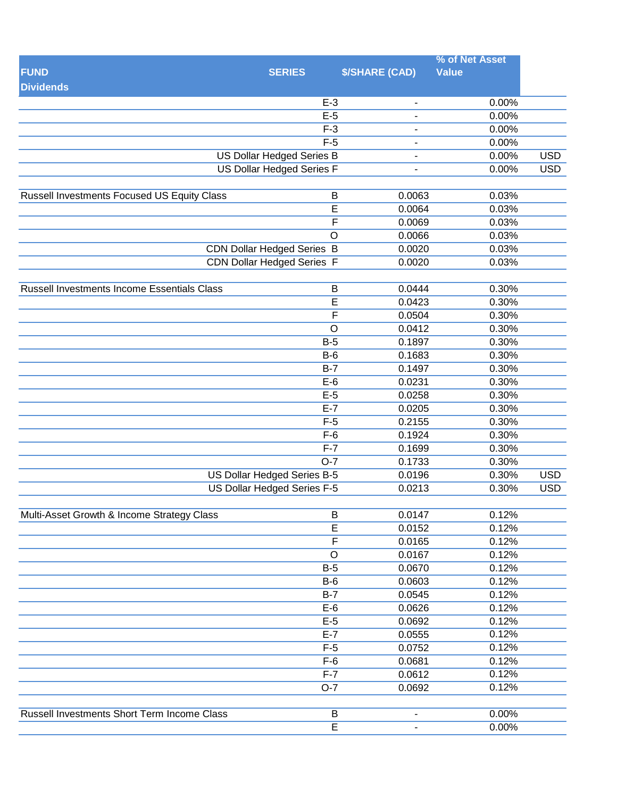| <b>FUND</b><br><b>\$/SHARE (CAD)</b><br><b>Value</b><br><b>SERIES</b><br><b>Dividends</b><br>$E-3$<br>0.00%<br>$\blacksquare$<br>$E-5$<br>0.00%<br>$F-3$<br>0.00%<br>$\blacksquare$<br>$F-5$<br>0.00%<br>٠<br>US Dollar Hedged Series B<br><b>USD</b><br>0.00%<br>$\overline{\phantom{a}}$<br><b>US Dollar Hedged Series F</b><br><b>USD</b><br>0.00%<br>÷<br>Russell Investments Focused US Equity Class<br>B<br>0.0063<br>0.03%<br>$\overline{\mathsf{E}}$<br>0.0064<br>0.03%<br>F<br>0.0069<br>0.03%<br>$\overline{O}$<br>0.0066<br>0.03%<br>0.03%<br><b>CDN Dollar Hedged Series B</b><br>0.0020<br><b>CDN Dollar Hedged Series F</b><br>0.03%<br>0.0020<br>0.30%<br>Russell Investments Income Essentials Class<br>B<br>0.0444<br>E<br>0.30%<br>0.0423<br>$\overline{F}$<br>0.0504<br>0.30%<br>$\overline{O}$<br>0.30%<br>0.0412<br>$B-5$<br>0.30%<br>0.1897<br>0.1683<br>0.30%<br>$B-6$<br>$B-7$<br>0.1497<br>0.30%<br>$E-6$<br>0.0231<br>0.30%<br>0.30%<br>$E-5$<br>0.0258<br>$E-7$<br>0.30%<br>0.0205<br>0.2155<br>0.30%<br>$F-5$<br>0.30%<br>$F-6$<br>0.1924<br>$F-7$<br>0.30%<br>0.1699<br>0.30%<br>$O-7$<br>0.1733<br><b>US Dollar Hedged Series B-5</b><br><b>USD</b><br>0.30%<br>0.0196<br><b>USD</b><br>US Dollar Hedged Series F-5<br>0.0213<br>0.30%<br>0.12%<br>Multi-Asset Growth & Income Strategy Class<br>B<br>0.0147<br>$\overline{E}$<br>0.12%<br>0.0152<br>F<br>0.0165<br>0.12%<br>$\circ$<br>0.0167<br>0.12%<br>$B-5$<br>0.0670<br>0.12%<br>0.12%<br>$B-6$<br>0.0603<br>0.12%<br>$B-7$<br>0.0545<br>$E-6$<br>0.12%<br>0.0626<br>$E-5$<br>0.0692<br>0.12%<br>$E-7$<br>0.12%<br>0.0555<br>$F-5$<br>0.12%<br>0.0752<br>$F-6$<br>0.0681<br>0.12%<br>$F-7$<br>0.12%<br>0.0612<br>$O-7$<br>0.0692<br>0.12%<br><b>Russell Investments Short Term Income Class</b><br>$\overline{B}$<br>0.00%<br>$\blacksquare$<br>$\overline{E}$<br>0.00% |  | % of Net Asset |  |
|-------------------------------------------------------------------------------------------------------------------------------------------------------------------------------------------------------------------------------------------------------------------------------------------------------------------------------------------------------------------------------------------------------------------------------------------------------------------------------------------------------------------------------------------------------------------------------------------------------------------------------------------------------------------------------------------------------------------------------------------------------------------------------------------------------------------------------------------------------------------------------------------------------------------------------------------------------------------------------------------------------------------------------------------------------------------------------------------------------------------------------------------------------------------------------------------------------------------------------------------------------------------------------------------------------------------------------------------------------------------------------------------------------------------------------------------------------------------------------------------------------------------------------------------------------------------------------------------------------------------------------------------------------------------------------------------------------------------------------------------------------------------------------------------------------------------------------------------------------------|--|----------------|--|
|                                                                                                                                                                                                                                                                                                                                                                                                                                                                                                                                                                                                                                                                                                                                                                                                                                                                                                                                                                                                                                                                                                                                                                                                                                                                                                                                                                                                                                                                                                                                                                                                                                                                                                                                                                                                                                                             |  |                |  |
|                                                                                                                                                                                                                                                                                                                                                                                                                                                                                                                                                                                                                                                                                                                                                                                                                                                                                                                                                                                                                                                                                                                                                                                                                                                                                                                                                                                                                                                                                                                                                                                                                                                                                                                                                                                                                                                             |  |                |  |
|                                                                                                                                                                                                                                                                                                                                                                                                                                                                                                                                                                                                                                                                                                                                                                                                                                                                                                                                                                                                                                                                                                                                                                                                                                                                                                                                                                                                                                                                                                                                                                                                                                                                                                                                                                                                                                                             |  |                |  |
|                                                                                                                                                                                                                                                                                                                                                                                                                                                                                                                                                                                                                                                                                                                                                                                                                                                                                                                                                                                                                                                                                                                                                                                                                                                                                                                                                                                                                                                                                                                                                                                                                                                                                                                                                                                                                                                             |  |                |  |
|                                                                                                                                                                                                                                                                                                                                                                                                                                                                                                                                                                                                                                                                                                                                                                                                                                                                                                                                                                                                                                                                                                                                                                                                                                                                                                                                                                                                                                                                                                                                                                                                                                                                                                                                                                                                                                                             |  |                |  |
|                                                                                                                                                                                                                                                                                                                                                                                                                                                                                                                                                                                                                                                                                                                                                                                                                                                                                                                                                                                                                                                                                                                                                                                                                                                                                                                                                                                                                                                                                                                                                                                                                                                                                                                                                                                                                                                             |  |                |  |
|                                                                                                                                                                                                                                                                                                                                                                                                                                                                                                                                                                                                                                                                                                                                                                                                                                                                                                                                                                                                                                                                                                                                                                                                                                                                                                                                                                                                                                                                                                                                                                                                                                                                                                                                                                                                                                                             |  |                |  |
|                                                                                                                                                                                                                                                                                                                                                                                                                                                                                                                                                                                                                                                                                                                                                                                                                                                                                                                                                                                                                                                                                                                                                                                                                                                                                                                                                                                                                                                                                                                                                                                                                                                                                                                                                                                                                                                             |  |                |  |
|                                                                                                                                                                                                                                                                                                                                                                                                                                                                                                                                                                                                                                                                                                                                                                                                                                                                                                                                                                                                                                                                                                                                                                                                                                                                                                                                                                                                                                                                                                                                                                                                                                                                                                                                                                                                                                                             |  |                |  |
|                                                                                                                                                                                                                                                                                                                                                                                                                                                                                                                                                                                                                                                                                                                                                                                                                                                                                                                                                                                                                                                                                                                                                                                                                                                                                                                                                                                                                                                                                                                                                                                                                                                                                                                                                                                                                                                             |  |                |  |
|                                                                                                                                                                                                                                                                                                                                                                                                                                                                                                                                                                                                                                                                                                                                                                                                                                                                                                                                                                                                                                                                                                                                                                                                                                                                                                                                                                                                                                                                                                                                                                                                                                                                                                                                                                                                                                                             |  |                |  |
|                                                                                                                                                                                                                                                                                                                                                                                                                                                                                                                                                                                                                                                                                                                                                                                                                                                                                                                                                                                                                                                                                                                                                                                                                                                                                                                                                                                                                                                                                                                                                                                                                                                                                                                                                                                                                                                             |  |                |  |
|                                                                                                                                                                                                                                                                                                                                                                                                                                                                                                                                                                                                                                                                                                                                                                                                                                                                                                                                                                                                                                                                                                                                                                                                                                                                                                                                                                                                                                                                                                                                                                                                                                                                                                                                                                                                                                                             |  |                |  |
|                                                                                                                                                                                                                                                                                                                                                                                                                                                                                                                                                                                                                                                                                                                                                                                                                                                                                                                                                                                                                                                                                                                                                                                                                                                                                                                                                                                                                                                                                                                                                                                                                                                                                                                                                                                                                                                             |  |                |  |
|                                                                                                                                                                                                                                                                                                                                                                                                                                                                                                                                                                                                                                                                                                                                                                                                                                                                                                                                                                                                                                                                                                                                                                                                                                                                                                                                                                                                                                                                                                                                                                                                                                                                                                                                                                                                                                                             |  |                |  |
|                                                                                                                                                                                                                                                                                                                                                                                                                                                                                                                                                                                                                                                                                                                                                                                                                                                                                                                                                                                                                                                                                                                                                                                                                                                                                                                                                                                                                                                                                                                                                                                                                                                                                                                                                                                                                                                             |  |                |  |
|                                                                                                                                                                                                                                                                                                                                                                                                                                                                                                                                                                                                                                                                                                                                                                                                                                                                                                                                                                                                                                                                                                                                                                                                                                                                                                                                                                                                                                                                                                                                                                                                                                                                                                                                                                                                                                                             |  |                |  |
|                                                                                                                                                                                                                                                                                                                                                                                                                                                                                                                                                                                                                                                                                                                                                                                                                                                                                                                                                                                                                                                                                                                                                                                                                                                                                                                                                                                                                                                                                                                                                                                                                                                                                                                                                                                                                                                             |  |                |  |
|                                                                                                                                                                                                                                                                                                                                                                                                                                                                                                                                                                                                                                                                                                                                                                                                                                                                                                                                                                                                                                                                                                                                                                                                                                                                                                                                                                                                                                                                                                                                                                                                                                                                                                                                                                                                                                                             |  |                |  |
|                                                                                                                                                                                                                                                                                                                                                                                                                                                                                                                                                                                                                                                                                                                                                                                                                                                                                                                                                                                                                                                                                                                                                                                                                                                                                                                                                                                                                                                                                                                                                                                                                                                                                                                                                                                                                                                             |  |                |  |
|                                                                                                                                                                                                                                                                                                                                                                                                                                                                                                                                                                                                                                                                                                                                                                                                                                                                                                                                                                                                                                                                                                                                                                                                                                                                                                                                                                                                                                                                                                                                                                                                                                                                                                                                                                                                                                                             |  |                |  |
|                                                                                                                                                                                                                                                                                                                                                                                                                                                                                                                                                                                                                                                                                                                                                                                                                                                                                                                                                                                                                                                                                                                                                                                                                                                                                                                                                                                                                                                                                                                                                                                                                                                                                                                                                                                                                                                             |  |                |  |
|                                                                                                                                                                                                                                                                                                                                                                                                                                                                                                                                                                                                                                                                                                                                                                                                                                                                                                                                                                                                                                                                                                                                                                                                                                                                                                                                                                                                                                                                                                                                                                                                                                                                                                                                                                                                                                                             |  |                |  |
|                                                                                                                                                                                                                                                                                                                                                                                                                                                                                                                                                                                                                                                                                                                                                                                                                                                                                                                                                                                                                                                                                                                                                                                                                                                                                                                                                                                                                                                                                                                                                                                                                                                                                                                                                                                                                                                             |  |                |  |
|                                                                                                                                                                                                                                                                                                                                                                                                                                                                                                                                                                                                                                                                                                                                                                                                                                                                                                                                                                                                                                                                                                                                                                                                                                                                                                                                                                                                                                                                                                                                                                                                                                                                                                                                                                                                                                                             |  |                |  |
|                                                                                                                                                                                                                                                                                                                                                                                                                                                                                                                                                                                                                                                                                                                                                                                                                                                                                                                                                                                                                                                                                                                                                                                                                                                                                                                                                                                                                                                                                                                                                                                                                                                                                                                                                                                                                                                             |  |                |  |
|                                                                                                                                                                                                                                                                                                                                                                                                                                                                                                                                                                                                                                                                                                                                                                                                                                                                                                                                                                                                                                                                                                                                                                                                                                                                                                                                                                                                                                                                                                                                                                                                                                                                                                                                                                                                                                                             |  |                |  |
|                                                                                                                                                                                                                                                                                                                                                                                                                                                                                                                                                                                                                                                                                                                                                                                                                                                                                                                                                                                                                                                                                                                                                                                                                                                                                                                                                                                                                                                                                                                                                                                                                                                                                                                                                                                                                                                             |  |                |  |
|                                                                                                                                                                                                                                                                                                                                                                                                                                                                                                                                                                                                                                                                                                                                                                                                                                                                                                                                                                                                                                                                                                                                                                                                                                                                                                                                                                                                                                                                                                                                                                                                                                                                                                                                                                                                                                                             |  |                |  |
|                                                                                                                                                                                                                                                                                                                                                                                                                                                                                                                                                                                                                                                                                                                                                                                                                                                                                                                                                                                                                                                                                                                                                                                                                                                                                                                                                                                                                                                                                                                                                                                                                                                                                                                                                                                                                                                             |  |                |  |
|                                                                                                                                                                                                                                                                                                                                                                                                                                                                                                                                                                                                                                                                                                                                                                                                                                                                                                                                                                                                                                                                                                                                                                                                                                                                                                                                                                                                                                                                                                                                                                                                                                                                                                                                                                                                                                                             |  |                |  |
|                                                                                                                                                                                                                                                                                                                                                                                                                                                                                                                                                                                                                                                                                                                                                                                                                                                                                                                                                                                                                                                                                                                                                                                                                                                                                                                                                                                                                                                                                                                                                                                                                                                                                                                                                                                                                                                             |  |                |  |
|                                                                                                                                                                                                                                                                                                                                                                                                                                                                                                                                                                                                                                                                                                                                                                                                                                                                                                                                                                                                                                                                                                                                                                                                                                                                                                                                                                                                                                                                                                                                                                                                                                                                                                                                                                                                                                                             |  |                |  |
|                                                                                                                                                                                                                                                                                                                                                                                                                                                                                                                                                                                                                                                                                                                                                                                                                                                                                                                                                                                                                                                                                                                                                                                                                                                                                                                                                                                                                                                                                                                                                                                                                                                                                                                                                                                                                                                             |  |                |  |
|                                                                                                                                                                                                                                                                                                                                                                                                                                                                                                                                                                                                                                                                                                                                                                                                                                                                                                                                                                                                                                                                                                                                                                                                                                                                                                                                                                                                                                                                                                                                                                                                                                                                                                                                                                                                                                                             |  |                |  |
|                                                                                                                                                                                                                                                                                                                                                                                                                                                                                                                                                                                                                                                                                                                                                                                                                                                                                                                                                                                                                                                                                                                                                                                                                                                                                                                                                                                                                                                                                                                                                                                                                                                                                                                                                                                                                                                             |  |                |  |
|                                                                                                                                                                                                                                                                                                                                                                                                                                                                                                                                                                                                                                                                                                                                                                                                                                                                                                                                                                                                                                                                                                                                                                                                                                                                                                                                                                                                                                                                                                                                                                                                                                                                                                                                                                                                                                                             |  |                |  |
|                                                                                                                                                                                                                                                                                                                                                                                                                                                                                                                                                                                                                                                                                                                                                                                                                                                                                                                                                                                                                                                                                                                                                                                                                                                                                                                                                                                                                                                                                                                                                                                                                                                                                                                                                                                                                                                             |  |                |  |
|                                                                                                                                                                                                                                                                                                                                                                                                                                                                                                                                                                                                                                                                                                                                                                                                                                                                                                                                                                                                                                                                                                                                                                                                                                                                                                                                                                                                                                                                                                                                                                                                                                                                                                                                                                                                                                                             |  |                |  |
|                                                                                                                                                                                                                                                                                                                                                                                                                                                                                                                                                                                                                                                                                                                                                                                                                                                                                                                                                                                                                                                                                                                                                                                                                                                                                                                                                                                                                                                                                                                                                                                                                                                                                                                                                                                                                                                             |  |                |  |
|                                                                                                                                                                                                                                                                                                                                                                                                                                                                                                                                                                                                                                                                                                                                                                                                                                                                                                                                                                                                                                                                                                                                                                                                                                                                                                                                                                                                                                                                                                                                                                                                                                                                                                                                                                                                                                                             |  |                |  |
|                                                                                                                                                                                                                                                                                                                                                                                                                                                                                                                                                                                                                                                                                                                                                                                                                                                                                                                                                                                                                                                                                                                                                                                                                                                                                                                                                                                                                                                                                                                                                                                                                                                                                                                                                                                                                                                             |  |                |  |
|                                                                                                                                                                                                                                                                                                                                                                                                                                                                                                                                                                                                                                                                                                                                                                                                                                                                                                                                                                                                                                                                                                                                                                                                                                                                                                                                                                                                                                                                                                                                                                                                                                                                                                                                                                                                                                                             |  |                |  |
|                                                                                                                                                                                                                                                                                                                                                                                                                                                                                                                                                                                                                                                                                                                                                                                                                                                                                                                                                                                                                                                                                                                                                                                                                                                                                                                                                                                                                                                                                                                                                                                                                                                                                                                                                                                                                                                             |  |                |  |
|                                                                                                                                                                                                                                                                                                                                                                                                                                                                                                                                                                                                                                                                                                                                                                                                                                                                                                                                                                                                                                                                                                                                                                                                                                                                                                                                                                                                                                                                                                                                                                                                                                                                                                                                                                                                                                                             |  |                |  |
|                                                                                                                                                                                                                                                                                                                                                                                                                                                                                                                                                                                                                                                                                                                                                                                                                                                                                                                                                                                                                                                                                                                                                                                                                                                                                                                                                                                                                                                                                                                                                                                                                                                                                                                                                                                                                                                             |  |                |  |
|                                                                                                                                                                                                                                                                                                                                                                                                                                                                                                                                                                                                                                                                                                                                                                                                                                                                                                                                                                                                                                                                                                                                                                                                                                                                                                                                                                                                                                                                                                                                                                                                                                                                                                                                                                                                                                                             |  |                |  |
|                                                                                                                                                                                                                                                                                                                                                                                                                                                                                                                                                                                                                                                                                                                                                                                                                                                                                                                                                                                                                                                                                                                                                                                                                                                                                                                                                                                                                                                                                                                                                                                                                                                                                                                                                                                                                                                             |  |                |  |
|                                                                                                                                                                                                                                                                                                                                                                                                                                                                                                                                                                                                                                                                                                                                                                                                                                                                                                                                                                                                                                                                                                                                                                                                                                                                                                                                                                                                                                                                                                                                                                                                                                                                                                                                                                                                                                                             |  |                |  |
|                                                                                                                                                                                                                                                                                                                                                                                                                                                                                                                                                                                                                                                                                                                                                                                                                                                                                                                                                                                                                                                                                                                                                                                                                                                                                                                                                                                                                                                                                                                                                                                                                                                                                                                                                                                                                                                             |  |                |  |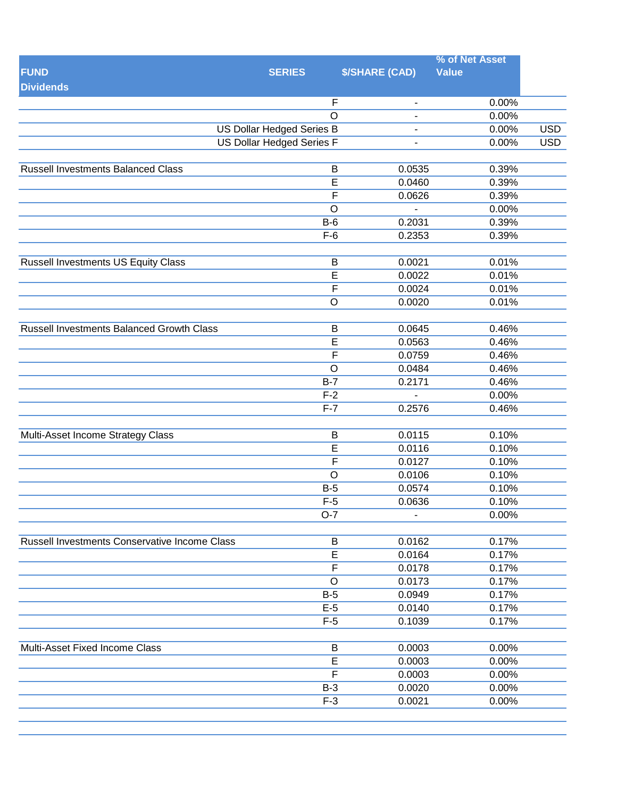|                                                  |                                  |                          | % of Net Asset |            |
|--------------------------------------------------|----------------------------------|--------------------------|----------------|------------|
| <b>FUND</b>                                      | <b>SERIES</b>                    | <b>\$/SHARE (CAD)</b>    | <b>Value</b>   |            |
| <b>Dividends</b>                                 |                                  |                          |                |            |
|                                                  | F                                | $\overline{\phantom{a}}$ | 0.00%          |            |
|                                                  | $\overline{O}$                   |                          | 0.00%          |            |
|                                                  | <b>US Dollar Hedged Series B</b> | ÷                        | 0.00%          | <b>USD</b> |
|                                                  | <b>US Dollar Hedged Series F</b> | $\blacksquare$           | 0.00%          | <b>USD</b> |
|                                                  |                                  |                          |                |            |
| <b>Russell Investments Balanced Class</b>        | B                                | 0.0535                   | 0.39%          |            |
|                                                  | $\overline{E}$                   | 0.0460                   | 0.39%          |            |
|                                                  | $\overline{F}$                   | 0.0626                   | 0.39%          |            |
|                                                  | $\overline{O}$                   |                          | 0.00%          |            |
|                                                  | $B-6$                            | 0.2031                   | 0.39%          |            |
|                                                  | $F-6$                            | 0.2353                   | 0.39%          |            |
|                                                  |                                  |                          |                |            |
| <b>Russell Investments US Equity Class</b>       | $\sf B$                          | 0.0021                   | 0.01%          |            |
|                                                  | $\overline{\mathsf{E}}$          | 0.0022                   | 0.01%          |            |
|                                                  | F                                | 0.0024                   | 0.01%          |            |
|                                                  | $\mathsf O$                      | 0.0020                   | 0.01%          |            |
|                                                  |                                  |                          |                |            |
| <b>Russell Investments Balanced Growth Class</b> | B                                | 0.0645                   | 0.46%          |            |
|                                                  | $\overline{\mathsf{E}}$          | 0.0563                   | 0.46%          |            |
|                                                  | F                                | 0.0759                   | 0.46%          |            |
|                                                  | $\mathsf O$                      | 0.0484                   | 0.46%          |            |
|                                                  | $B-7$                            | 0.2171                   | 0.46%          |            |
|                                                  | $F-2$                            |                          | 0.00%          |            |
|                                                  | $F-7$                            | 0.2576                   | 0.46%          |            |
|                                                  |                                  |                          |                |            |
| Multi-Asset Income Strategy Class                | B                                | 0.0115                   | 0.10%          |            |
|                                                  | $\overline{E}$                   | 0.0116                   | 0.10%          |            |
|                                                  | $\overline{F}$                   | 0.0127                   | 0.10%          |            |
|                                                  | $\overline{O}$                   | 0.0106                   | 0.10%          |            |
|                                                  | $B-5$                            | 0.0574                   | 0.10%          |            |
|                                                  | $F-5$                            | 0.0636                   | 0.10%          |            |
|                                                  | $O-7$                            |                          | 0.00%          |            |
|                                                  |                                  |                          |                |            |
| Russell Investments Conservative Income Class    | B                                | 0.0162                   | 0.17%          |            |
|                                                  | $\overline{E}$                   | 0.0164                   | 0.17%          |            |
|                                                  | F                                | 0.0178                   | 0.17%          |            |
|                                                  | $\circ$                          | 0.0173                   | 0.17%          |            |
|                                                  | $B-5$                            | 0.0949                   | 0.17%          |            |
|                                                  | $E-5$                            | 0.0140                   | 0.17%          |            |
|                                                  | $F-5$                            | 0.1039                   | 0.17%          |            |
| Multi-Asset Fixed Income Class                   | B                                | 0.0003                   | 0.00%          |            |
|                                                  | $\overline{\mathsf{E}}$          | 0.0003                   | 0.00%          |            |
|                                                  | $\overline{\mathsf{F}}$          | 0.0003                   | 0.00%          |            |
|                                                  | $B-3$                            | 0.0020                   | 0.00%          |            |
|                                                  | $F-3$                            | 0.0021                   | 0.00%          |            |
|                                                  |                                  |                          |                |            |
|                                                  |                                  |                          |                |            |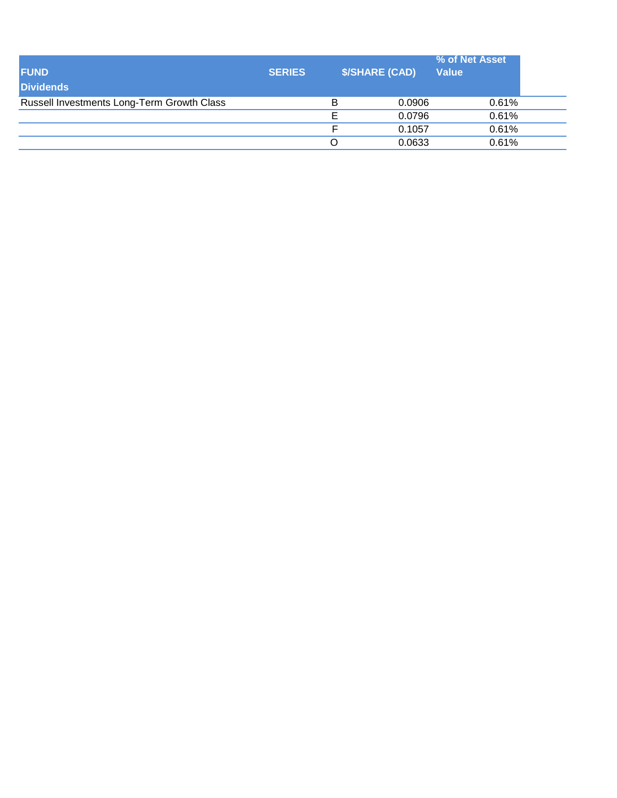| <b>FUND</b><br><b>Dividends</b>            | <b>SERIES</b> | <b>\$/SHARE (CAD)</b> |        | % of Net Asset<br><b>Value</b> |  |
|--------------------------------------------|---------------|-----------------------|--------|--------------------------------|--|
| Russell Investments Long-Term Growth Class |               | в                     | 0.0906 | 0.61%                          |  |
|                                            |               |                       | 0.0796 | 0.61%                          |  |
|                                            |               |                       | 0.1057 | 0.61%                          |  |
|                                            |               |                       | 0.0633 | 0.61%                          |  |